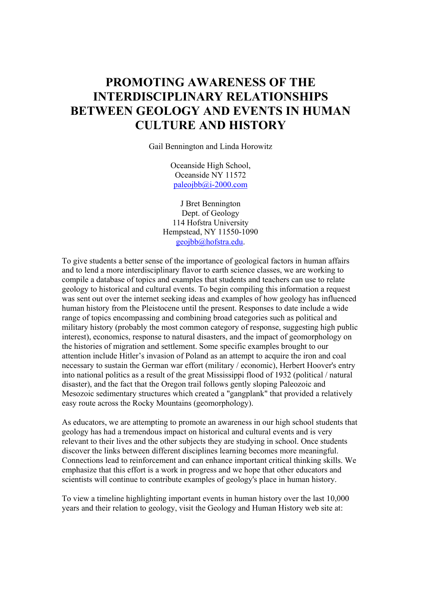## **PROMOTING AWARENESS OF THE INTERDISCIPLINARY RELATIONSHIPS BETWEEN GEOLOGY AND EVENTS IN HUMAN CULTURE AND HISTORY**

Gail Bennington and Linda Horowitz

Oceanside High School, Oceanside NY 11572 paleojbb@i-2000.com

J Bret Bennington Dept. of Geology 114 Hofstra University Hempstead, NY 11550-1090 geojbb@hofstra.edu.

To give students a better sense of the importance of geological factors in human affairs and to lend a more interdisciplinary flavor to earth science classes, we are working to compile a database of topics and examples that students and teachers can use to relate geology to historical and cultural events. To begin compiling this information a request was sent out over the internet seeking ideas and examples of how geology has influenced human history from the Pleistocene until the present. Responses to date include a wide range of topics encompassing and combining broad categories such as political and military history (probably the most common category of response, suggesting high public interest), economics, response to natural disasters, and the impact of geomorphology on the histories of migration and settlement. Some specific examples brought to our attention include Hitler's invasion of Poland as an attempt to acquire the iron and coal necessary to sustain the German war effort (military / economic), Herbert Hoover's entry into national politics as a result of the great Mississippi flood of 1932 (political / natural disaster), and the fact that the Oregon trail follows gently sloping Paleozoic and Mesozoic sedimentary structures which created a "gangplank" that provided a relatively easy route across the Rocky Mountains (geomorphology).

As educators, we are attempting to promote an awareness in our high school students that geology has had a tremendous impact on historical and cultural events and is very relevant to their lives and the other subjects they are studying in school. Once students discover the links between different disciplines learning becomes more meaningful. Connections lead to reinforcement and can enhance important critical thinking skills. We emphasize that this effort is a work in progress and we hope that other educators and scientists will continue to contribute examples of geology's place in human history.

To view a timeline highlighting important events in human history over the last 10,000 years and their relation to geology, visit the Geology and Human History web site at: